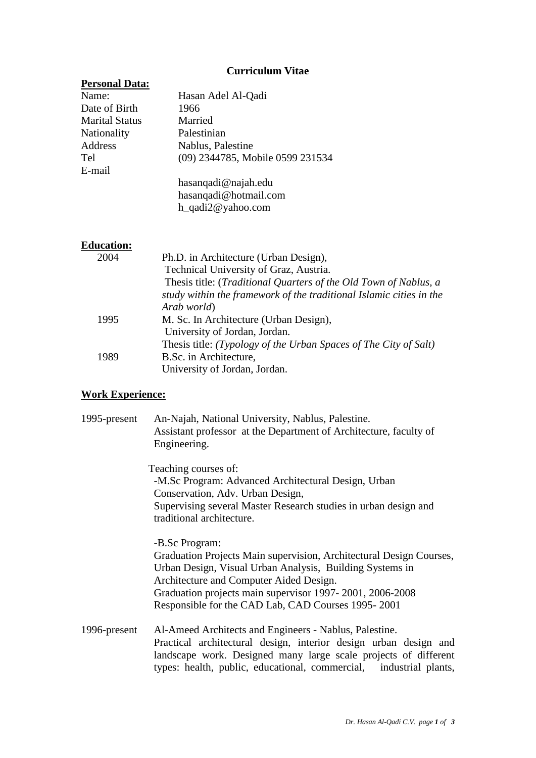## **Curriculum Vitae**

| <b>Personal Data:</b> |                                                                     |
|-----------------------|---------------------------------------------------------------------|
| Name:                 | Hasan Adel Al-Qadi                                                  |
| Date of Birth         | 1966                                                                |
| <b>Marital Status</b> | Married                                                             |
| Nationality           | Palestinian                                                         |
| Address               | Nablus, Palestine                                                   |
| Tel                   | (09) 2344785, Mobile 0599 231534                                    |
| E-mail                |                                                                     |
|                       | hasanqadi@najah.edu                                                 |
|                       | hasanqadi@hotmail.com                                               |
|                       | h_qadi2@yahoo.com                                                   |
| <b>Education:</b>     |                                                                     |
| 2004                  | Ph.D. in Architecture (Urban Design),                               |
|                       | Technical University of Graz, Austria.                              |
|                       | Thesis title: (Traditional Quarters of the Old Town of Nablus, a    |
|                       | study within the framework of the traditional Islamic cities in the |
|                       | Arab world)                                                         |
| 1995                  | M. Sc. In Architecture (Urban Design),                              |
|                       | University of Jordan, Jordan.                                       |
|                       | Thesis title: (Typology of the Urban Spaces of The City of Salt)    |
| 1989                  | B.Sc. in Architecture,                                              |
|                       | University of Jordan, Jordan.                                       |

# **Work Experience:**

| 1995-present | An-Najah, National University, Nablus, Palestine.<br>Assistant professor at the Department of Architecture, faculty of<br>Engineering.                                                                                                                                                                         |
|--------------|----------------------------------------------------------------------------------------------------------------------------------------------------------------------------------------------------------------------------------------------------------------------------------------------------------------|
|              | Teaching courses of:<br>-M.Sc Program: Advanced Architectural Design, Urban<br>Conservation, Adv. Urban Design,<br>Supervising several Master Research studies in urban design and<br>traditional architecture.                                                                                                |
|              | -B.Sc Program:<br>Graduation Projects Main supervision, Architectural Design Courses,<br>Urban Design, Visual Urban Analysis, Building Systems in<br>Architecture and Computer Aided Design.<br>Graduation projects main supervisor 1997-2001, 2006-2008<br>Responsible for the CAD Lab, CAD Courses 1995-2001 |
| 1996-present | Al-Ameed Architects and Engineers - Nablus, Palestine.<br>Practical architectural design, interior design urban design and<br>landscape work. Designed many large scale projects of different<br>types: health, public, educational, commercial, industrial plants,                                            |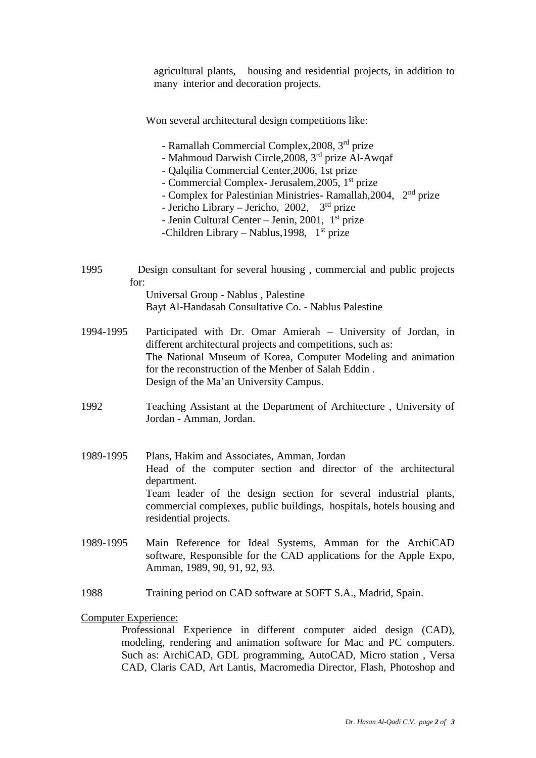agricultural plants, housing and residential projects, in addition to many interior and decoration projects.

Won several architectural design competitions like:

- Ramallah Commercial Complex,2008, 3 rd prize
- Mahmoud Darwish Circle,2008, 3 rd prize Al-Awqaf
- Qalqilia Commercial Center,2006, 1st prize
- Commercial Complex- Jerusalem,2005, 1st prize
- Complex for Palestinian Ministries- Ramallah,2004, 2nd prize
- Jericho Library Jericho, 2002,  $3<sup>rd</sup>$  prize
- Jenin Cultural Center Jenin, 2001,  $1<sup>st</sup>$  prize
- -Children Library Nablus, 1998,  $1<sup>st</sup>$  prize
- 1995 Design consultant for several housing , commercial and public projects for:

Universal Group - Nablus , Palestine Bayt Al-Handasah Consultative Co. - Nablus Palestine

- 1994-1995 Participated with Dr. Omar Amierah University of Jordan, in different architectural projects and competitions, such as: The National Museum of Korea, Computer Modeling and animation for the reconstruction of the Menber of Salah Eddin . Design of the Ma'an University Campus.
- 1992 Teaching Assistant at the Department of Architecture , University of Jordan - Amman, Jordan.
- 1989-1995 Plans, Hakim and Associates, Amman, Jordan Head of the computer section and director of the architectural department. Team leader of the design section for several industrial plants, commercial complexes, public buildings, hospitals, hotels housing and residential projects.
- 1989-1995 Main Reference for Ideal Systems, Amman for the ArchiCAD software, Responsible for the CAD applications for the Apple Expo, Amman, 1989, 90, 91, 92, 93.
- 1988 Training period on CAD software at SOFT S.A., Madrid, Spain.

Computer Experience:

Professional Experience in different computer aided design (CAD), modeling, rendering and animation software for Mac and PC computers. Such as: ArchiCAD, GDL programming, AutoCAD, Micro station , Versa CAD, Claris CAD, Art Lantis, Macromedia Director, Flash, Photoshop and